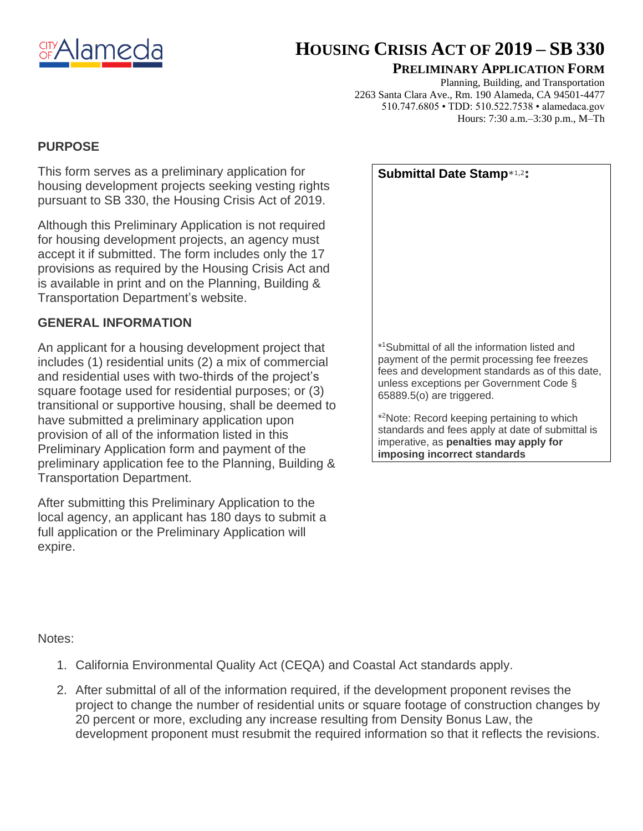

# **HOUSING CRISIS ACT OF 2019 – SB 330**

### **PRELIMINARY APPLICATION FORM**

Planning, Building, and Transportation 2263 Santa Clara Ave., Rm. 190 Alameda, CA 94501-4477 510.747.6805 • TDD: 510.522.7538 • alamedaca.gov Hours: 7:30 a.m.–3:30 p.m., M–Th

# **PURPOSE**

This form serves as a preliminary application for housing development projects seeking vesting rights pursuant to SB 330, the Housing Crisis Act of 2019.

Although this Preliminary Application is not required for housing development projects, an agency must accept it if submitted. The form includes only the 17 provisions as required by the Housing Crisis Act and is available in print and on the Planning, Building & Transportation Department's website.

# **GENERAL INFORMATION**

An applicant for a housing development project that includes (1) residential units (2) a mix of commercial and residential uses with two-thirds of the project's square footage used for residential purposes; or (3) transitional or supportive housing, shall be deemed to have submitted a preliminary application upon provision of all of the information listed in this Preliminary Application form and payment of the preliminary application fee to the Planning, Building & Transportation Department.

After submitting this Preliminary Application to the local agency, an applicant has 180 days to submit a full application or the Preliminary Application will expire.

| Submittal Date Stamp*1,2:                                                                                                                                                                                                             |  |
|---------------------------------------------------------------------------------------------------------------------------------------------------------------------------------------------------------------------------------------|--|
|                                                                                                                                                                                                                                       |  |
|                                                                                                                                                                                                                                       |  |
|                                                                                                                                                                                                                                       |  |
|                                                                                                                                                                                                                                       |  |
|                                                                                                                                                                                                                                       |  |
|                                                                                                                                                                                                                                       |  |
|                                                                                                                                                                                                                                       |  |
| * <sup>1</sup> Submittal of all the information listed and<br>payment of the permit processing fee freezes<br>fees and development standards as of this date,<br>unless exceptions per Government Code §<br>65889.5(o) are triggered. |  |
| * <sup>2</sup> Note: Record keeping pertaining to which<br>standards and fees apply at date of submittal is                                                                                                                           |  |

standards and fees apply at date of submittal is imperative, as **penalties may apply for imposing incorrect standards**

Notes:

- 1. California Environmental Quality Act (CEQA) and Coastal Act standards apply.
- 2. After submittal of all of the information required, if the development proponent revises the project to change the number of residential units or square footage of construction changes by 20 percent or more, excluding any increase resulting from Density Bonus Law, the development proponent must resubmit the required information so that it reflects the revisions.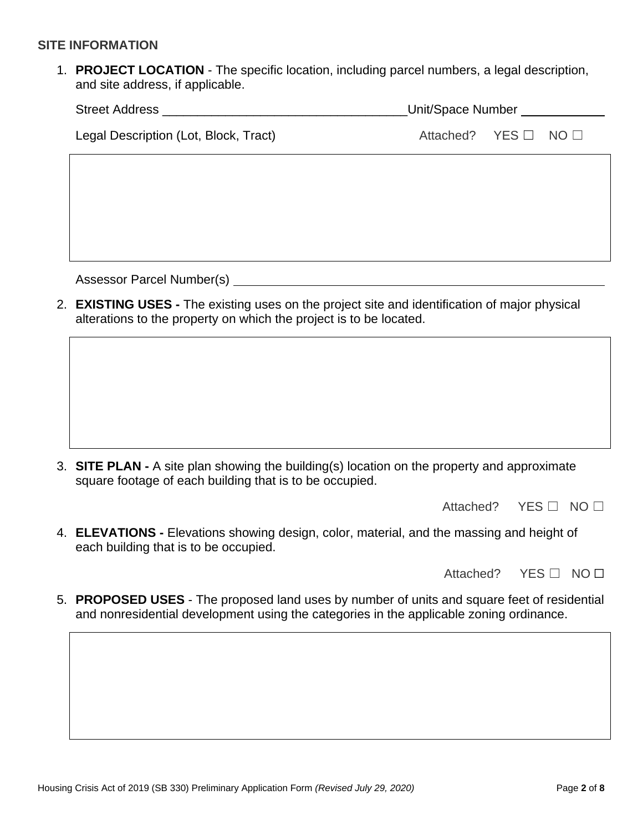#### **SITE INFORMATION**

1. **PROJECT LOCATION** - The specific location, including parcel numbers, a legal description, and site address, if applicable.

| <b>Street Address</b>                 | Unit/Space Number |                                |  |
|---------------------------------------|-------------------|--------------------------------|--|
| Legal Description (Lot, Block, Tract) |                   | Attached? YES $\Box$ NO $\Box$ |  |
|                                       |                   |                                |  |

Assessor Parcel Number(s)

2. **EXISTING USES -** The existing uses on the project site and identification of major physical alterations to the property on which the project is to be located.

3. **SITE PLAN -** A site plan showing the building(s) location on the property and approximate square footage of each building that is to be occupied.

Attached? YES □ NO □

4. **ELEVATIONS -** Elevations showing design, color, material, and the massing and height of each building that is to be occupied.

Attached? YES □ NO □

5. **PROPOSED USES** - The proposed land uses by number of units and square feet of residential and nonresidential development using the categories in the applicable zoning ordinance.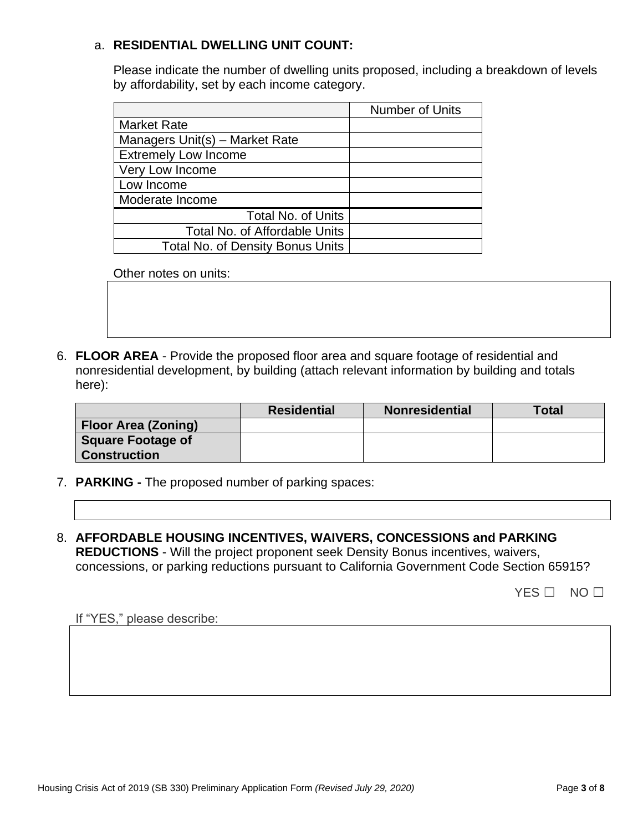## a. **RESIDENTIAL DWELLING UNIT COUNT:**

Please indicate the number of dwelling units proposed, including a breakdown of levels by affordability, set by each income category.

|                                         | <b>Number of Units</b> |
|-----------------------------------------|------------------------|
| <b>Market Rate</b>                      |                        |
| Managers Unit(s) - Market Rate          |                        |
| <b>Extremely Low Income</b>             |                        |
| Very Low Income                         |                        |
| Low Income                              |                        |
| Moderate Income                         |                        |
| <b>Total No. of Units</b>               |                        |
| <b>Total No. of Affordable Units</b>    |                        |
| <b>Total No. of Density Bonus Units</b> |                        |

Other notes on units:

6. **FLOOR AREA** - Provide the proposed floor area and square footage of residential and nonresidential development, by building (attach relevant information by building and totals here):

|                                                 | <b>Residential</b> | <b>Nonresidential</b> | <b>Total</b> |
|-------------------------------------------------|--------------------|-----------------------|--------------|
| <b>Floor Area (Zoning)</b>                      |                    |                       |              |
| <b>Square Footage of</b><br><b>Construction</b> |                    |                       |              |

- 7. **PARKING -** The proposed number of parking spaces:
- 8. **AFFORDABLE HOUSING INCENTIVES, WAIVERS, CONCESSIONS and PARKING REDUCTIONS** - Will the project proponent seek Density Bonus incentives, waivers, concessions, or parking reductions pursuant to California Government Code Section 65915?

YES □ NO □

If "YES," please describe: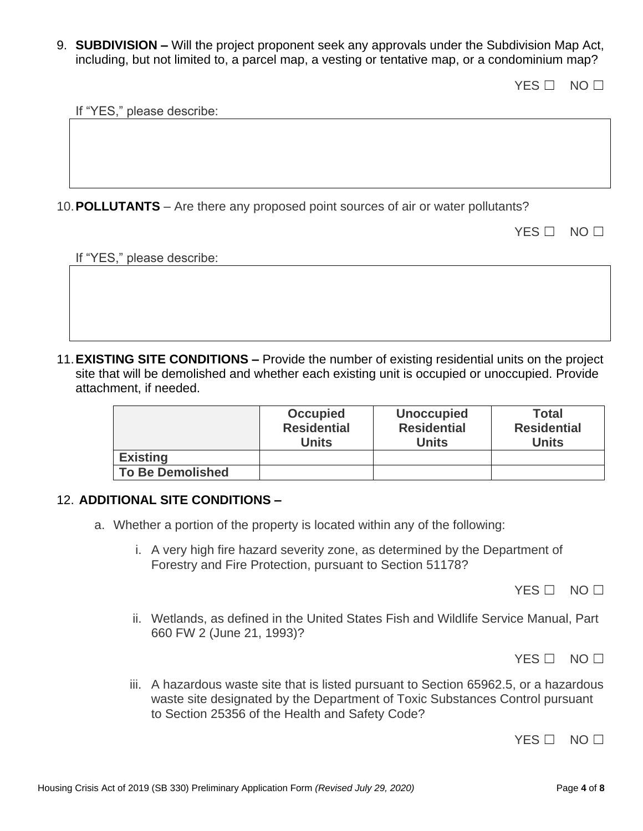9. **SUBDIVISION –** Will the project proponent seek any approvals under the Subdivision Map Act, including, but not limited to, a parcel map, a vesting or tentative map, or a condominium map?

YES □ NO □

If "YES," please describe:

10.**POLLUTANTS** – Are there any proposed point sources of air or water pollutants?

| ж. |  |  |
|----|--|--|
|----|--|--|

If "YES," please describe:

11.**EXISTING SITE CONDITIONS –** Provide the number of existing residential units on the project site that will be demolished and whether each existing unit is occupied or unoccupied. Provide attachment, if needed.

|                         | <b>Occupied</b><br><b>Residential</b><br><b>Units</b> | <b>Unoccupied</b><br><b>Residential</b><br>Units | <b>Total</b><br><b>Residential</b><br><b>Units</b> |
|-------------------------|-------------------------------------------------------|--------------------------------------------------|----------------------------------------------------|
| <b>Existing</b>         |                                                       |                                                  |                                                    |
| <b>To Be Demolished</b> |                                                       |                                                  |                                                    |

#### 12. **ADDITIONAL SITE CONDITIONS –**

- a. Whether a portion of the property is located within any of the following:
	- i. A very high fire hazard severity zone, as determined by the Department of Forestry and Fire Protection, pursuant to Section 51178?

YES □ NO □

ii. Wetlands, as defined in the United States Fish and Wildlife Service Manual, Part 660 FW 2 (June 21, 1993)?

YES □ NO □

iii. A hazardous waste site that is listed pursuant to Section 65962.5, or a hazardous waste site designated by the Department of Toxic Substances Control pursuant to Section 25356 of the Health and Safety Code?

YES □ NO □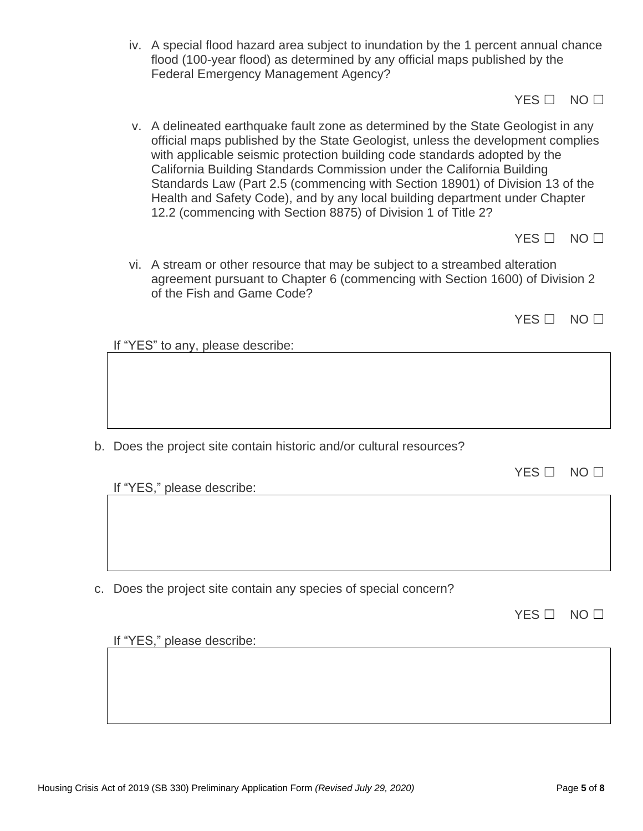iv. A special flood hazard area subject to inundation by the 1 percent annual chance flood (100-year flood) as determined by any official maps published by the Federal Emergency Management Agency?

YES □ NO □

v. A delineated earthquake fault zone as determined by the State Geologist in any official maps published by the State Geologist, unless the development complies with applicable seismic protection building code standards adopted by the California Building Standards Commission under the California Building Standards Law (Part 2.5 (commencing with Section 18901) of Division 13 of the Health and Safety Code), and by any local building department under Chapter 12.2 (commencing with Section 8875) of Division 1 of Title 2?

YES □ NO □

vi. A stream or other resource that may be subject to a streambed alteration agreement pursuant to Chapter 6 (commencing with Section 1600) of Division 2 of the Fish and Game Code?

YES □ NO □

If "YES" to any, please describe:

b. Does the project site contain historic and/or cultural resources?

| YES . | NO <sub>1</sub> |  |
|-------|-----------------|--|
|       |                 |  |

If "YES," please describe:

c. Does the project site contain any species of special concern?

If "YES," please describe: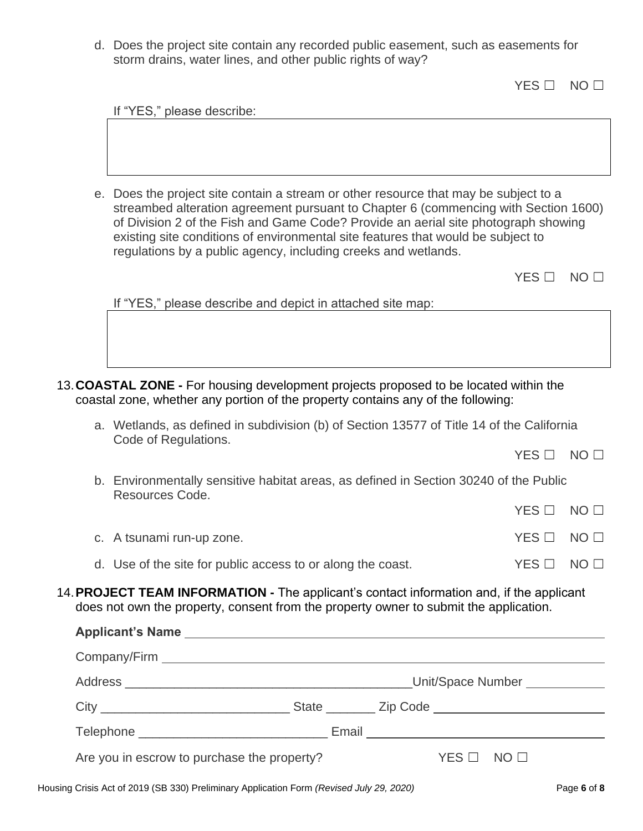d. Does the project site contain any recorded public easement, such as easements for storm drains, water lines, and other public rights of way?

YES □ NO □

| If "YES," please describe:                                                                                                                                                                                                                                                                                                                                                                                              |                 |                 |
|-------------------------------------------------------------------------------------------------------------------------------------------------------------------------------------------------------------------------------------------------------------------------------------------------------------------------------------------------------------------------------------------------------------------------|-----------------|-----------------|
|                                                                                                                                                                                                                                                                                                                                                                                                                         |                 |                 |
|                                                                                                                                                                                                                                                                                                                                                                                                                         |                 |                 |
|                                                                                                                                                                                                                                                                                                                                                                                                                         |                 |                 |
| e. Does the project site contain a stream or other resource that may be subject to a<br>streambed alteration agreement pursuant to Chapter 6 (commencing with Section 1600)<br>of Division 2 of the Fish and Game Code? Provide an aerial site photograph showing<br>existing site conditions of environmental site features that would be subject to<br>regulations by a public agency, including creeks and wetlands. |                 |                 |
|                                                                                                                                                                                                                                                                                                                                                                                                                         | $YES$ $\square$ | NO <sub>1</sub> |
| If "YES," please describe and depict in attached site map:                                                                                                                                                                                                                                                                                                                                                              |                 |                 |
|                                                                                                                                                                                                                                                                                                                                                                                                                         |                 |                 |
|                                                                                                                                                                                                                                                                                                                                                                                                                         |                 |                 |
|                                                                                                                                                                                                                                                                                                                                                                                                                         |                 |                 |
| 13. COASTAL ZONE - For housing development projects proposed to be located within the<br>coastal zone, whether any portion of the property contains any of the following:                                                                                                                                                                                                                                               |                 |                 |
| a. Wetlands, as defined in subdivision (b) of Section 13577 of Title 14 of the California                                                                                                                                                                                                                                                                                                                               |                 |                 |
| Code of Regulations.                                                                                                                                                                                                                                                                                                                                                                                                    | $YES$ $\square$ | NO <sub>1</sub> |
| b. Environmentally sensitive habitat areas, as defined in Section 30240 of the Public                                                                                                                                                                                                                                                                                                                                   |                 |                 |
| Resources Code.                                                                                                                                                                                                                                                                                                                                                                                                         | YES             | NO <sub>1</sub> |
|                                                                                                                                                                                                                                                                                                                                                                                                                         |                 |                 |
| c. A tsunami run-up zone.                                                                                                                                                                                                                                                                                                                                                                                               | $YES$ $\square$ | NO <sub>1</sub> |
| d. Use of the site for public access to or along the coast.                                                                                                                                                                                                                                                                                                                                                             | $YES$ $\square$ | NO <sub>1</sub> |
|                                                                                                                                                                                                                                                                                                                                                                                                                         |                 |                 |

14.**PROJECT TEAM INFORMATION -** The applicant's contact information and, if the applicant does not own the property, consent from the property owner to submit the application.

| Are you in escrow to purchase the property? |  | $YES \Box NO \Box$ |
|---------------------------------------------|--|--------------------|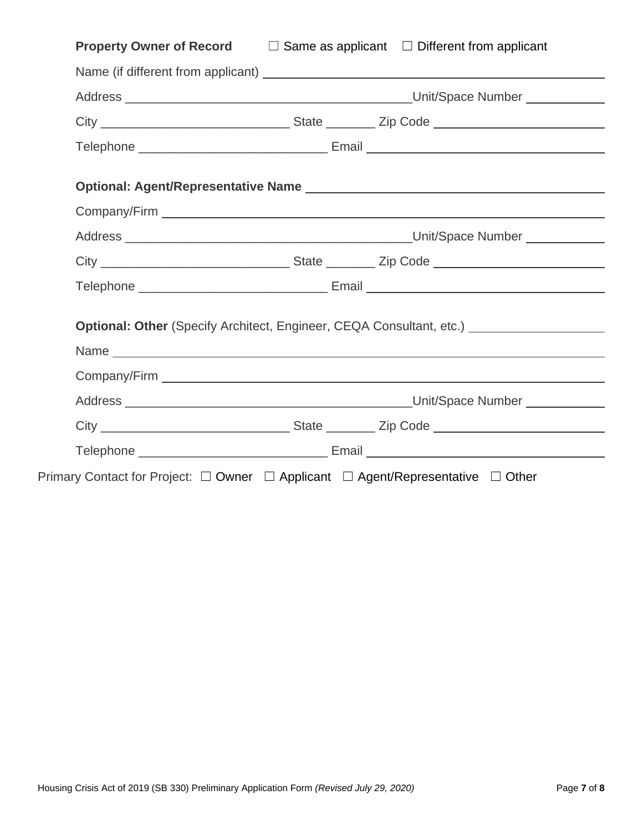| <b>Property Owner of Record</b><br>$\Box$ Same as applicant $\Box$ Different from applicant                    |
|----------------------------------------------------------------------------------------------------------------|
|                                                                                                                |
|                                                                                                                |
|                                                                                                                |
|                                                                                                                |
|                                                                                                                |
| Company/Firm 2008 2009 2009 2010 2020 2020 2031 2040 2050 2061 2071 2082 2093 2009 2010 2021 2021 2021 2021 20 |
|                                                                                                                |
|                                                                                                                |
|                                                                                                                |
|                                                                                                                |
| Optional: Other (Specify Architect, Engineer, CEQA Consultant, etc.) [Consultant, etc.]                        |
|                                                                                                                |
|                                                                                                                |